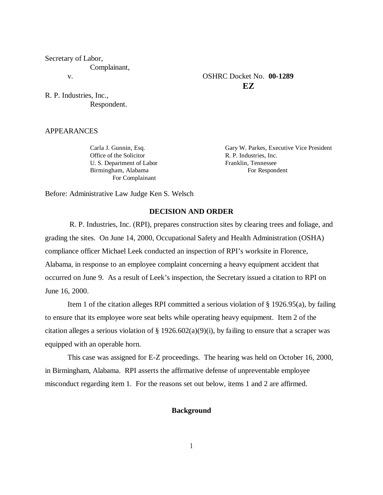Secretary of Labor, Complainant, v. OSHRC Docket No. **00-1289**

R. P. Industries, Inc., Respondent.

APPEARANCES

Office of the Solicitor R. P. Industries, Inc. U. S. Department of Labor Franklin, Tennessee Birmingham, Alabama For Respondent For Complainant

Carla J. Gunnin, Esq. Gary W. Parkes, Executive Vice President

**EZ**

Before: Administrative Law Judge Ken S. Welsch

### **DECISION AND ORDER**

 R. P. Industries, Inc. (RPI), prepares construction sites by clearing trees and foliage, and grading the sites. On June 14, 2000, Occupational Safety and Health Administration (OSHA) compliance officer Michael Leek conducted an inspection of RPI's worksite in Florence, Alabama, in response to an employee complaint concerning a heavy equipment accident that occurred on June 9. As a result of Leek's inspection, the Secretary issued a citation to RPI on June 16, 2000.

Item 1 of the citation alleges RPI committed a serious violation of § 1926.95(a), by failing to ensure that its employee wore seat belts while operating heavy equipment. Item 2 of the citation alleges a serious violation of § 1926.602(a)(9)(i), by failing to ensure that a scraper was equipped with an operable horn.

This case was assigned for E-Z proceedings. The hearing was held on October 16, 2000, in Birmingham, Alabama. RPI asserts the affirmative defense of unpreventable employee misconduct regarding item 1. For the reasons set out below, items 1 and 2 are affirmed.

### **Background**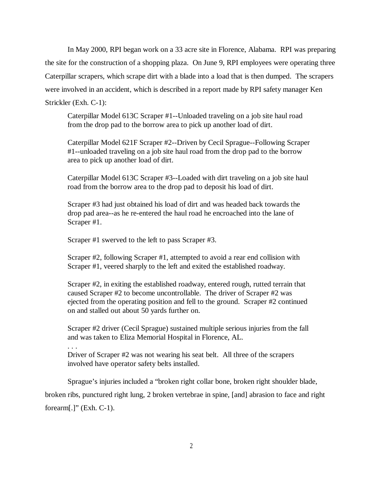In May 2000, RPI began work on a 33 acre site in Florence, Alabama. RPI was preparing the site for the construction of a shopping plaza. On June 9, RPI employees were operating three Caterpillar scrapers, which scrape dirt with a blade into a load that is then dumped. The scrapers were involved in an accident, which is described in a report made by RPI safety manager Ken Strickler (Exh. C-1):

Caterpillar Model 613C Scraper #1--Unloaded traveling on a job site haul road from the drop pad to the borrow area to pick up another load of dirt.

Caterpillar Model 621F Scraper #2--Driven by Cecil Sprague--Following Scraper #1--unloaded traveling on a job site haul road from the drop pad to the borrow area to pick up another load of dirt.

Caterpillar Model 613C Scraper #3--Loaded with dirt traveling on a job site haul road from the borrow area to the drop pad to deposit his load of dirt.

Scraper #3 had just obtained his load of dirt and was headed back towards the drop pad area--as he re-entered the haul road he encroached into the lane of Scraper #1.

Scraper #1 swerved to the left to pass Scraper #3.

. . .

Scraper #2, following Scraper #1, attempted to avoid a rear end collision with Scraper #1, veered sharply to the left and exited the established roadway.

Scraper #2, in exiting the established roadway, entered rough, rutted terrain that caused Scraper #2 to become uncontrollable. The driver of Scraper #2 was ejected from the operating position and fell to the ground. Scraper #2 continued on and stalled out about 50 yards further on.

Scraper #2 driver (Cecil Sprague) sustained multiple serious injuries from the fall and was taken to Eliza Memorial Hospital in Florence, AL.

Driver of Scraper #2 was not wearing his seat belt. All three of the scrapers involved have operator safety belts installed.

Sprague's injuries included a "broken right collar bone, broken right shoulder blade, broken ribs, punctured right lung, 2 broken vertebrae in spine, [and] abrasion to face and right forearm[.]" (Exh. C-1).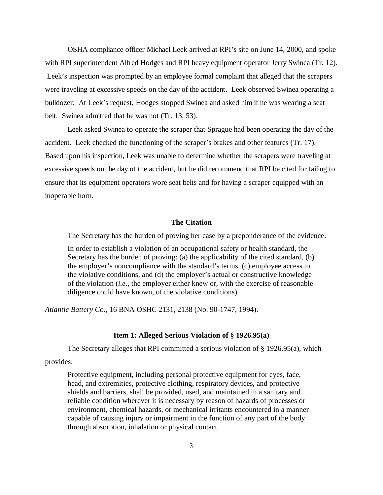OSHA compliance officer Michael Leek arrived at RPI's site on June 14, 2000, and spoke with RPI superintendent Alfred Hodges and RPI heavy equipment operator Jerry Swinea (Tr. 12). Leek's inspection was prompted by an employee formal complaint that alleged that the scrapers were traveling at excessive speeds on the day of the accident. Leek observed Swinea operating a bulldozer. At Leek's request, Hodges stopped Swinea and asked him if he was wearing a seat belt. Swinea admitted that he was not (Tr. 13, 53).

Leek asked Swinea to operate the scraper that Sprague had been operating the day of the accident. Leek checked the functioning of the scraper's brakes and other features (Tr. 17). Based upon his inspection, Leek was unable to determine whether the scrapers were traveling at excessive speeds on the day of the accident, but he did recommend that RPI be cited for failing to ensure that its equipment operators wore seat belts and for having a scraper equipped with an inoperable horn.

## **The Citation**

The Secretary has the burden of proving her case by a preponderance of the evidence.

In order to establish a violation of an occupational safety or health standard, the Secretary has the burden of proving: (a) the applicability of the cited standard, (b) the employer's noncompliance with the standard's terms, (c) employee access to the violative conditions, and (d) the employer's actual or constructive knowledge of the violation (*i.e.,* the employer either knew or, with the exercise of reasonable diligence could have known, of the violative conditions).

*Atlantic Battery Co.,* 16 BNA OSHC 2131, 2138 (No. 90-1747, 1994).

### **Item 1: Alleged Serious Violation of § 1926.95(a)**

The Secretary alleges that RPI committed a serious violation of § 1926.95(a), which

# provides:

Protective equipment, including personal protective equipment for eyes, face, head, and extremities, protective clothing, respiratory devices, and protective shields and barriers, shall be provided, used, and maintained in a sanitary and reliable condition wherever it is necessary by reason of hazards of processes or environment, chemical hazards, or mechanical irritants encountered in a manner capable of causing injury or impairment in the function of any part of the body through absorption, inhalation or physical contact.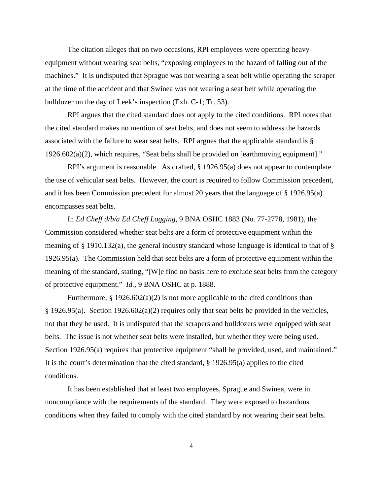The citation alleges that on two occasions, RPI employees were operating heavy equipment without wearing seat belts, "exposing employees to the hazard of falling out of the machines." It is undisputed that Sprague was not wearing a seat belt while operating the scraper at the time of the accident and that Swinea was not wearing a seat belt while operating the bulldozer on the day of Leek's inspection (Exh. C-1; Tr. 53).

RPI argues that the cited standard does not apply to the cited conditions. RPI notes that the cited standard makes no mention of seat belts, and does not seem to address the hazards associated with the failure to wear seat belts. RPI argues that the applicable standard is § 1926.602(a)(2), which requires, "Seat belts shall be provided on [earthmoving equipment]."

RPI's argument is reasonable. As drafted, § 1926.95(a) does not appear to contemplate the use of vehicular seat belts. However, the court is required to follow Commission precedent, and it has been Commission precedent for almost 20 years that the language of § 1926.95(a) encompasses seat belts.

In *Ed Cheff d/b/a Ed Cheff Logging,* 9 BNA OSHC 1883 (No. 77-2778, 1981), the Commission considered whether seat belts are a form of protective equipment within the meaning of § 1910.132(a), the general industry standard whose language is identical to that of § 1926.95(a). The Commission held that seat belts are a form of protective equipment within the meaning of the standard, stating, "[W]e find no basis here to exclude seat belts from the category of protective equipment." *Id.,* 9 BNA OSHC at p. 1888.

Furthermore,  $\S 1926.602(a)(2)$  is not more applicable to the cited conditions than § 1926.95(a). Section 1926.602(a)(2) requires only that seat belts be provided in the vehicles, not that they be used. It is undisputed that the scrapers and bulldozers were equipped with seat belts. The issue is not whether seat belts were installed, but whether they were being used. Section 1926.95(a) requires that protective equipment "shall be provided, used, and maintained." It is the court's determination that the cited standard, § 1926.95(a) applies to the cited conditions.

It has been established that at least two employees, Sprague and Swinea, were in noncompliance with the requirements of the standard. They were exposed to hazardous conditions when they failed to comply with the cited standard by not wearing their seat belts.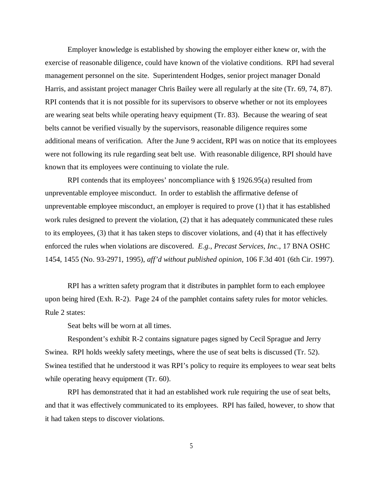Employer knowledge is established by showing the employer either knew or, with the exercise of reasonable diligence, could have known of the violative conditions. RPI had several management personnel on the site. Superintendent Hodges, senior project manager Donald Harris, and assistant project manager Chris Bailey were all regularly at the site (Tr. 69, 74, 87). RPI contends that it is not possible for its supervisors to observe whether or not its employees are wearing seat belts while operating heavy equipment (Tr. 83). Because the wearing of seat belts cannot be verified visually by the supervisors, reasonable diligence requires some additional means of verification. After the June 9 accident, RPI was on notice that its employees were not following its rule regarding seat belt use. With reasonable diligence, RPI should have known that its employees were continuing to violate the rule.

RPI contends that its employees' noncompliance with § 1926.95(a) resulted from unpreventable employee misconduct. In order to establish the affirmative defense of unpreventable employee misconduct, an employer is required to prove (1) that it has established work rules designed to prevent the violation, (2) that it has adequately communicated these rules to its employees, (3) that it has taken steps to discover violations, and (4) that it has effectively enforced the rules when violations are discovered. *E.g.*, *Precast Services, Inc*., 17 BNA OSHC 1454, 1455 (No. 93-2971, 1995), *aff'd without published opinion*, 106 F.3d 401 (6th Cir. 1997).

RPI has a written safety program that it distributes in pamphlet form to each employee upon being hired (Exh. R-2). Page 24 of the pamphlet contains safety rules for motor vehicles. Rule 2 states:

Seat belts will be worn at all times.

Respondent's exhibit R-2 contains signature pages signed by Cecil Sprague and Jerry Swinea. RPI holds weekly safety meetings, where the use of seat belts is discussed (Tr. 52). Swinea testified that he understood it was RPI's policy to require its employees to wear seat belts while operating heavy equipment (Tr. 60).

RPI has demonstrated that it had an established work rule requiring the use of seat belts, and that it was effectively communicated to its employees. RPI has failed, however, to show that it had taken steps to discover violations.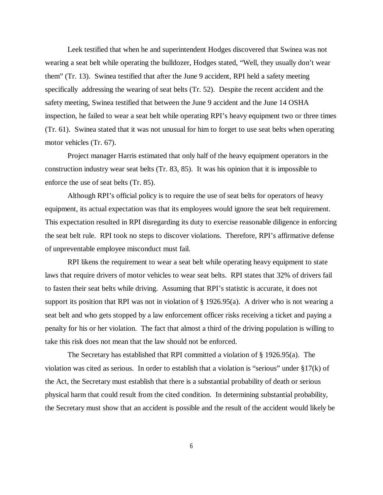Leek testified that when he and superintendent Hodges discovered that Swinea was not wearing a seat belt while operating the bulldozer, Hodges stated, "Well, they usually don't wear them" (Tr. 13). Swinea testified that after the June 9 accident, RPI held a safety meeting specifically addressing the wearing of seat belts (Tr. 52). Despite the recent accident and the safety meeting, Swinea testified that between the June 9 accident and the June 14 OSHA inspection, he failed to wear a seat belt while operating RPI's heavy equipment two or three times (Tr. 61). Swinea stated that it was not unusual for him to forget to use seat belts when operating motor vehicles (Tr. 67).

Project manager Harris estimated that only half of the heavy equipment operators in the construction industry wear seat belts (Tr. 83, 85). It was his opinion that it is impossible to enforce the use of seat belts (Tr. 85).

Although RPI's official policy is to require the use of seat belts for operators of heavy equipment, its actual expectation was that its employees would ignore the seat belt requirement. This expectation resulted in RPI disregarding its duty to exercise reasonable diligence in enforcing the seat belt rule. RPI took no steps to discover violations. Therefore, RPI's affirmative defense of unpreventable employee misconduct must fail.

RPI likens the requirement to wear a seat belt while operating heavy equipment to state laws that require drivers of motor vehicles to wear seat belts. RPI states that 32% of drivers fail to fasten their seat belts while driving. Assuming that RPI's statistic is accurate, it does not support its position that RPI was not in violation of § 1926.95(a). A driver who is not wearing a seat belt and who gets stopped by a law enforcement officer risks receiving a ticket and paying a penalty for his or her violation. The fact that almost a third of the driving population is willing to take this risk does not mean that the law should not be enforced.

The Secretary has established that RPI committed a violation of § 1926.95(a). The violation was cited as serious. In order to establish that a violation is "serious" under  $\S 17(k)$  of the Act, the Secretary must establish that there is a substantial probability of death or serious physical harm that could result from the cited condition. In determining substantial probability, the Secretary must show that an accident is possible and the result of the accident would likely be

6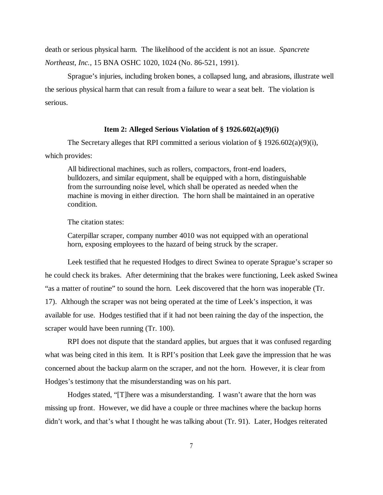death or serious physical harm. The likelihood of the accident is not an issue. *Spancrete Northeast, Inc.,* 15 BNA OSHC 1020, 1024 (No. 86-521, 1991).

Sprague's injuries, including broken bones, a collapsed lung, and abrasions, illustrate well the serious physical harm that can result from a failure to wear a seat belt. The violation is serious.

### **Item 2: Alleged Serious Violation of § 1926.602(a)(9)(i)**

The Secretary alleges that RPI committed a serious violation of § 1926.602(a)(9)(i), which provides:

All bidirectional machines, such as rollers, compactors, front-end loaders, bulldozers, and similar equipment, shall be equipped with a horn, distinguishable from the surrounding noise level, which shall be operated as needed when the machine is moving in either direction. The horn shall be maintained in an operative condition.

The citation states:

Caterpillar scraper, company number 4010 was not equipped with an operational horn, exposing employees to the hazard of being struck by the scraper.

Leek testified that he requested Hodges to direct Swinea to operate Sprague's scraper so he could check its brakes. After determining that the brakes were functioning, Leek asked Swinea "as a matter of routine" to sound the horn. Leek discovered that the horn was inoperable (Tr. 17). Although the scraper was not being operated at the time of Leek's inspection, it was available for use. Hodges testified that if it had not been raining the day of the inspection, the scraper would have been running (Tr. 100).

RPI does not dispute that the standard applies, but argues that it was confused regarding what was being cited in this item. It is RPI's position that Leek gave the impression that he was concerned about the backup alarm on the scraper, and not the horn. However, it is clear from Hodges's testimony that the misunderstanding was on his part.

Hodges stated, "[T]here was a misunderstanding. I wasn't aware that the horn was missing up front. However, we did have a couple or three machines where the backup horns didn't work, and that's what I thought he was talking about (Tr. 91). Later, Hodges reiterated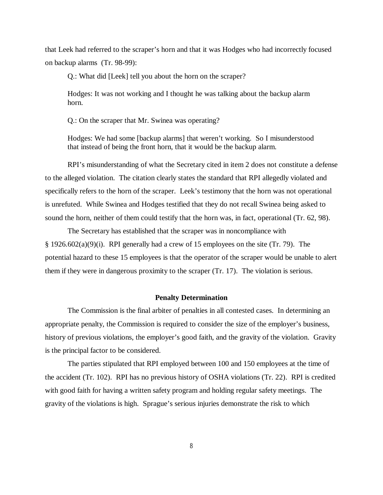that Leek had referred to the scraper's horn and that it was Hodges who had incorrectly focused on backup alarms (Tr. 98-99):

Q.: What did [Leek] tell you about the horn on the scraper?

Hodges: It was not working and I thought he was talking about the backup alarm horn.

Q.: On the scraper that Mr. Swinea was operating?

Hodges: We had some [backup alarms] that weren't working. So I misunderstood that instead of being the front horn, that it would be the backup alarm.

RPI's misunderstanding of what the Secretary cited in item 2 does not constitute a defense to the alleged violation. The citation clearly states the standard that RPI allegedly violated and specifically refers to the horn of the scraper. Leek's testimony that the horn was not operational is unrefuted. While Swinea and Hodges testified that they do not recall Swinea being asked to sound the horn, neither of them could testify that the horn was, in fact, operational (Tr. 62, 98).

The Secretary has established that the scraper was in noncompliance with § 1926.602(a)(9)(i). RPI generally had a crew of 15 employees on the site (Tr. 79). The potential hazard to these 15 employees is that the operator of the scraper would be unable to alert them if they were in dangerous proximity to the scraper (Tr. 17). The violation is serious.

### **Penalty Determination**

The Commission is the final arbiter of penalties in all contested cases. In determining an appropriate penalty, the Commission is required to consider the size of the employer's business, history of previous violations, the employer's good faith, and the gravity of the violation. Gravity is the principal factor to be considered.

The parties stipulated that RPI employed between 100 and 150 employees at the time of the accident (Tr. 102). RPI has no previous history of OSHA violations (Tr. 22). RPI is credited with good faith for having a written safety program and holding regular safety meetings. The gravity of the violations is high. Sprague's serious injuries demonstrate the risk to which